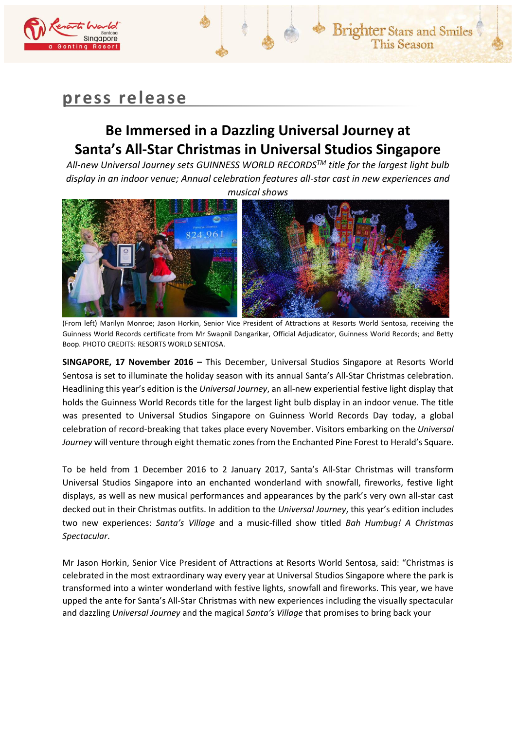

# **press release**

## **Be Immersed in a Dazzling Universal Journey at Santa's All-Star Christmas in Universal Studios Singapore**

*All-new Universal Journey sets GUINNESS WORLD RECORDSTM title for the largest light bulb display in an indoor venue; Annual celebration features all-star cast in new experiences and musical shows*



(From left) Marilyn Monroe; Jason Horkin, Senior Vice President of Attractions at Resorts World Sentosa, receiving the Guinness World Records certificate from Mr Swapnil Dangarikar, Official Adjudicator, Guinness World Records; and Betty Boop. PHOTO CREDITS: RESORTS WORLD SENTOSA.

**SINGAPORE, 17 November 2016 –** This December, Universal Studios Singapore at Resorts World Sentosa is set to illuminate the holiday season with its annual Santa's All-Star Christmas celebration. Headlining this year's edition is the *Universal Journey*, an all-new experiential festive light display that holds the Guinness World Records title for the largest light bulb display in an indoor venue. The title was presented to Universal Studios Singapore on Guinness World Records Day today, a global celebration of record-breaking that takes place every November. Visitors embarking on the *Universal Journey* will venture through eight thematic zones from the Enchanted Pine Forest to Herald's Square.

To be held from 1 December 2016 to 2 January 2017, Santa's All-Star Christmas will transform Universal Studios Singapore into an enchanted wonderland with snowfall, fireworks, festive light displays, as well as new musical performances and appearances by the park's very own all-star cast decked out in their Christmas outfits. In addition to the *Universal Journey*, this year's edition includes two new experiences: *Santa's Village* and a music-filled show titled *Bah Humbug! A Christmas Spectacular*.

Mr Jason Horkin, Senior Vice President of Attractions at Resorts World Sentosa, said: "Christmas is celebrated in the most extraordinary way every year at Universal Studios Singapore where the park is transformed into a winter wonderland with festive lights, snowfall and fireworks. This year, we have upped the ante for Santa's All-Star Christmas with new experiences including the visually spectacular and dazzling *Universal Journey* and the magical *Santa's Village* that promises to bring back your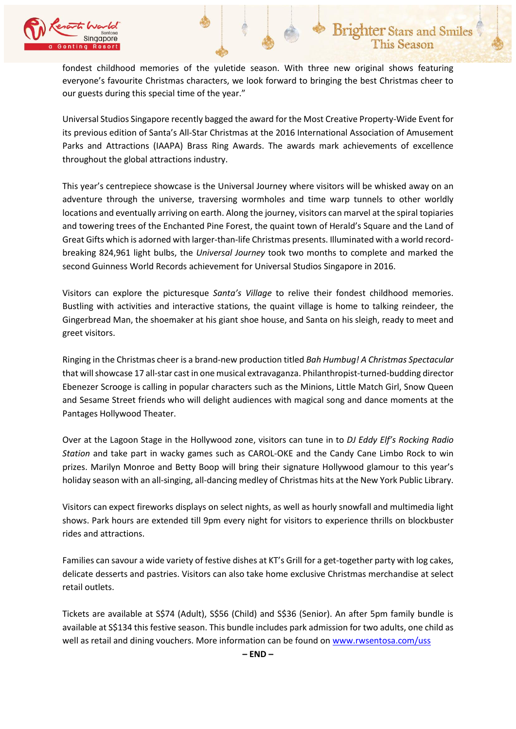

fondest childhood memories of the yuletide season. With three new original shows featuring everyone's favourite Christmas characters, we look forward to bringing the best Christmas cheer to our guests during this special time of the year."

Universal Studios Singapore recently bagged the award for the Most Creative Property-Wide Event for its previous edition of Santa's All-Star Christmas at the 2016 International Association of Amusement Parks and Attractions (IAAPA) Brass Ring Awards. The awards mark achievements of excellence throughout the global attractions industry.

This year's centrepiece showcase is the Universal Journey where visitors will be whisked away on an adventure through the universe, traversing wormholes and time warp tunnels to other worldly locations and eventually arriving on earth. Along the journey, visitors can marvel at the spiral topiaries and towering trees of the Enchanted Pine Forest, the quaint town of Herald's Square and the Land of Great Gifts which is adorned with larger-than-life Christmas presents. Illuminated with a world recordbreaking 824,961 light bulbs, the *Universal Journey* took two months to complete and marked the second Guinness World Records achievement for Universal Studios Singapore in 2016.

Visitors can explore the picturesque *Santa's Village* to relive their fondest childhood memories. Bustling with activities and interactive stations, the quaint village is home to talking reindeer, the Gingerbread Man, the shoemaker at his giant shoe house, and Santa on his sleigh, ready to meet and greet visitors.

Ringing in the Christmas cheer is a brand-new production titled *Bah Humbug! A Christmas Spectacular* that will showcase 17 all-star cast in one musical extravaganza. Philanthropist-turned-budding director Ebenezer Scrooge is calling in popular characters such as the Minions, Little Match Girl, Snow Queen and Sesame Street friends who will delight audiences with magical song and dance moments at the Pantages Hollywood Theater.

Over at the Lagoon Stage in the Hollywood zone, visitors can tune in to *DJ Eddy Elf's Rocking Radio Station* and take part in wacky games such as CAROL-OKE and the Candy Cane Limbo Rock to win prizes. Marilyn Monroe and Betty Boop will bring their signature Hollywood glamour to this year's holiday season with an all-singing, all-dancing medley of Christmas hits at the New York Public Library.

Visitors can expect fireworks displays on select nights, as well as hourly snowfall and multimedia light shows. Park hours are extended till 9pm every night for visitors to experience thrills on blockbuster rides and attractions.

Families can savour a wide variety of festive dishes at KT's Grill for a get-together party with log cakes, delicate desserts and pastries. Visitors can also take home exclusive Christmas merchandise at select retail outlets.

Tickets are available at S\$74 (Adult), S\$56 (Child) and S\$36 (Senior). An after 5pm family bundle is available at S\$134 this festive season. This bundle includes park admission for two adults, one child as well as retail and dining vouchers. More information can be found o[n www.rwsentosa.com/uss](http://www.rwsentosa.com/uss)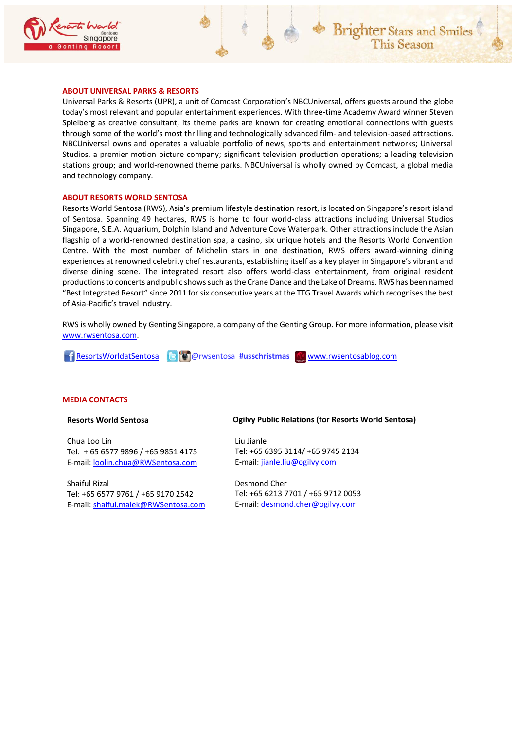

## **ABOUT UNIVERSAL PARKS & RESORTS**

Universal Parks & Resorts (UPR), a unit of Comcast Corporation's NBCUniversal, offers guests around the globe today's most relevant and popular entertainment experiences. With three-time Academy Award winner Steven Spielberg as creative consultant, its theme parks are known for creating emotional connections with guests through some of the world's most thrilling and technologically advanced film- and television-based attractions. NBCUniversal owns and operates a valuable portfolio of news, sports and entertainment networks; Universal Studios, a premier motion picture company; significant television production operations; a leading television stations group; and world-renowned theme parks. NBCUniversal is wholly owned by Comcast, a global media and technology company.

### **ABOUT RESORTS WORLD SENTOSA**

Resorts World Sentosa (RWS), Asia's premium lifestyle destination resort, is located on Singapore's resort island of Sentosa. Spanning 49 hectares, RWS is home to four world-class attractions including Universal Studios Singapore, S.E.A. Aquarium, Dolphin Island and Adventure Cove Waterpark. Other attractions include the Asian flagship of a world-renowned destination spa, a casino, six unique hotels and the Resorts World Convention Centre. With the most number of Michelin stars in one destination, RWS offers award-winning dining experiences at renowned celebrity chef restaurants, establishing itself as a key player in Singapore's vibrant and diverse dining scene. The integrated resort also offers world-class entertainment, from original resident productions to concerts and public shows such as the Crane Dance and the Lake of Dreams. RWS has been named "Best Integrated Resort" since 2011 for six consecutive years at the TTG Travel Awards which recognises the best of Asia-Pacific's travel industry.

RWS is wholly owned by Genting Singapore, a company of the Genting Group. For more information, please visit [www.rwsentosa.com.](http://www.rwsentosa.com/)

[ResortsWorldatSentosa](https://www.facebook.com/ResortsWorldatSentosa) @rwsentosa **#usschristmas** [www.rwsentosablog.com](http://www.rwsentosablog.com/)

### **MEDIA CONTACTS**

**Resorts World Sentosa**

Chua Loo Lin Tel: + 65 6577 9896 / +65 9851 4175 E-mail[: loolin.chua@RWSentosa.com](mailto:loolin.chua@RWSentosa.com)

Shaiful Rizal Tel: +65 6577 9761 / +65 9170 2542 E-mail[: shaiful.malek@RWSentosa.com](mailto:shaiful.malek@RWSentosa.com) **Ogilvy Public Relations (for Resorts World Sentosa)**

Liu Jianle Tel: +65 6395 3114/ +65 9745 2134 E-mail: [jianle.liu@ogilvy.com](mailto:jianle.liu@ogilvy.com)

Desmond Cher Tel: +65 6213 7701 / +65 9712 0053 E-mail: [desmond.cher@ogilvy.com](mailto:desmond.cher@ogilvy.com)